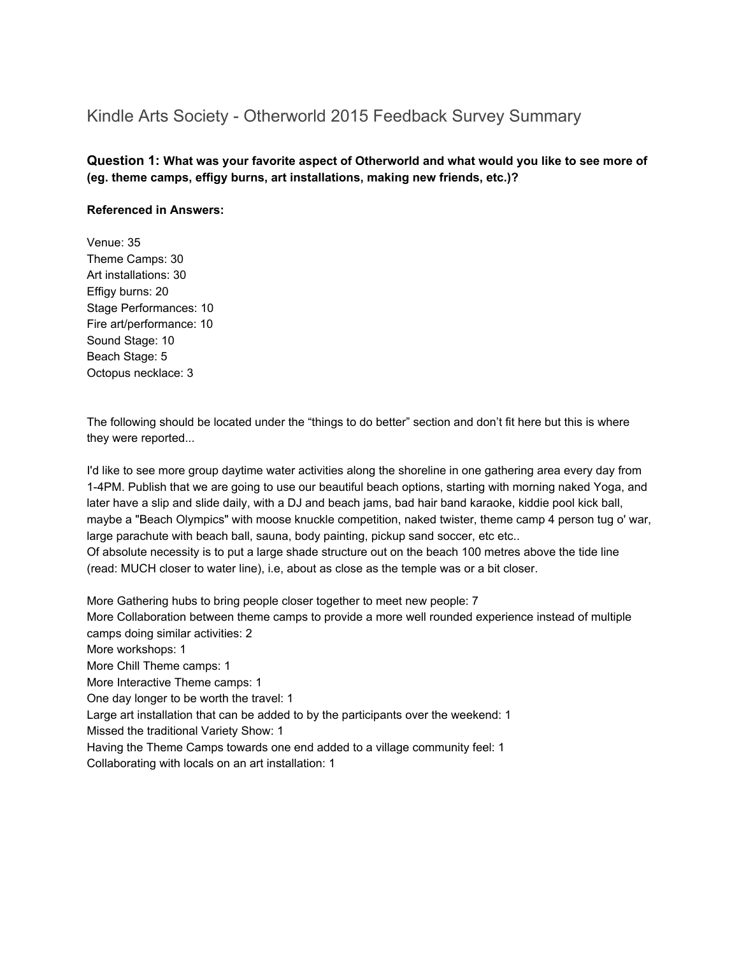# Kindle Arts Society - Otherworld 2015 Feedback Survey Summary

**Question 1: What was your favorite aspect of Otherworld and what would you like to see more of (eg. theme camps, effigy burns, art installations, making new friends, etc.)?**

#### **Referenced in Answers:**

Venue: 35 Theme Camps: 30 Art installations: 30 Effigy burns: 20 Stage Performances: 10 Fire art/performance: 10 Sound Stage: 10 Beach Stage: 5 Octopus necklace: 3

The following should be located under the "things to do better" section and don't fit here but this is where they were reported...

I'd like to see more group daytime water activities along the shoreline in one gathering area every day from 14PM. Publish that we are going to use our beautiful beach options, starting with morning naked Yoga, and later have a slip and slide daily, with a DJ and beach jams, bad hair band karaoke, kiddie pool kick ball, maybe a "Beach Olympics" with moose knuckle competition, naked twister, theme camp 4 person tug o' war, large parachute with beach ball, sauna, body painting, pickup sand soccer, etc etc.. Of absolute necessity is to put a large shade structure out on the beach 100 metres above the tide line (read: MUCH closer to water line), i.e, about as close as the temple was or a bit closer.

More Gathering hubs to bring people closer together to meet new people: 7 More Collaboration between theme camps to provide a more well rounded experience instead of multiple camps doing similar activities: 2 More workshops: 1 More Chill Theme camps: 1 More Interactive Theme camps: 1 One day longer to be worth the travel: 1 Large art installation that can be added to by the participants over the weekend: 1 Missed the traditional Variety Show: 1 Having the Theme Camps towards one end added to a village community feel: 1 Collaborating with locals on an art installation: 1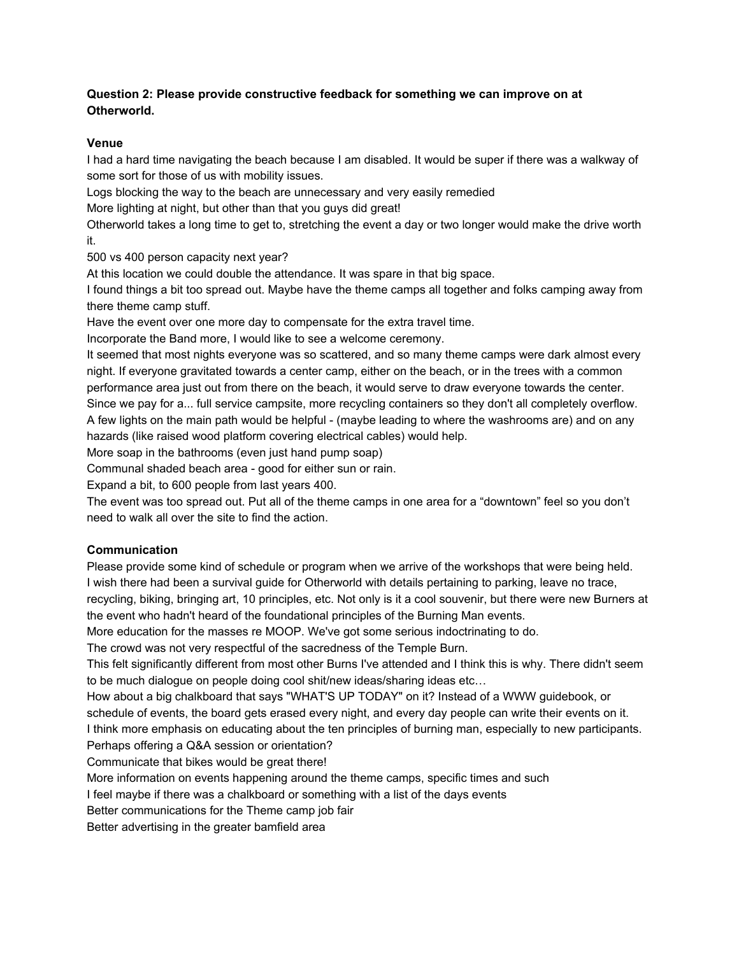## **Question 2: Please provide constructive feedback for something we can improve on at Otherworld.**

## **Venue**

I had a hard time navigating the beach because I am disabled. It would be super if there was a walkway of some sort for those of us with mobility issues.

Logs blocking the way to the beach are unnecessary and very easily remedied

More lighting at night, but other than that you guys did great!

Otherworld takes a long time to get to, stretching the event a day or two longer would make the drive worth it.

500 vs 400 person capacity next year?

At this location we could double the attendance. It was spare in that big space.

I found things a bit too spread out. Maybe have the theme camps all together and folks camping away from there theme camp stuff.

Have the event over one more day to compensate for the extra travel time.

Incorporate the Band more, I would like to see a welcome ceremony.

It seemed that most nights everyone was so scattered, and so many theme camps were dark almost every night. If everyone gravitated towards a center camp, either on the beach, or in the trees with a common performance area just out from there on the beach, it would serve to draw everyone towards the center. Since we pay for a... full service campsite, more recycling containers so they don't all completely overflow.

A few lights on the main path would be helpful - (maybe leading to where the washrooms are) and on any hazards (like raised wood platform covering electrical cables) would help.

More soap in the bathrooms (even just hand pump soap)

Communal shaded beach area - good for either sun or rain.

Expand a bit, to 600 people from last years 400.

The event was too spread out. Put all of the theme camps in one area for a "downtown" feel so you don't need to walk all over the site to find the action.

# **Communication**

Please provide some kind of schedule or program when we arrive of the workshops that were being held. I wish there had been a survival guide for Otherworld with details pertaining to parking, leave no trace, recycling, biking, bringing art, 10 principles, etc. Not only is it a cool souvenir, but there were new Burners at the event who hadn't heard of the foundational principles of the Burning Man events.

More education for the masses re MOOP. We've got some serious indoctrinating to do.

The crowd was not very respectful of the sacredness of the Temple Burn.

This felt significantly different from most other Burns I've attended and I think this is why. There didn't seem to be much dialogue on people doing cool shit/new ideas/sharing ideas etc…

How about a big chalkboard that says "WHAT'S UP TODAY" on it? Instead of a WWW guidebook, or schedule of events, the board gets erased every night, and every day people can write their events on it. I think more emphasis on educating about the ten principles of burning man, especially to new participants. Perhaps offering a Q&A session or orientation?

Communicate that bikes would be great there!

More information on events happening around the theme camps, specific times and such

I feel maybe if there was a chalkboard or something with a list of the days events

Better communications for the Theme camp job fair

Better advertising in the greater bamfield area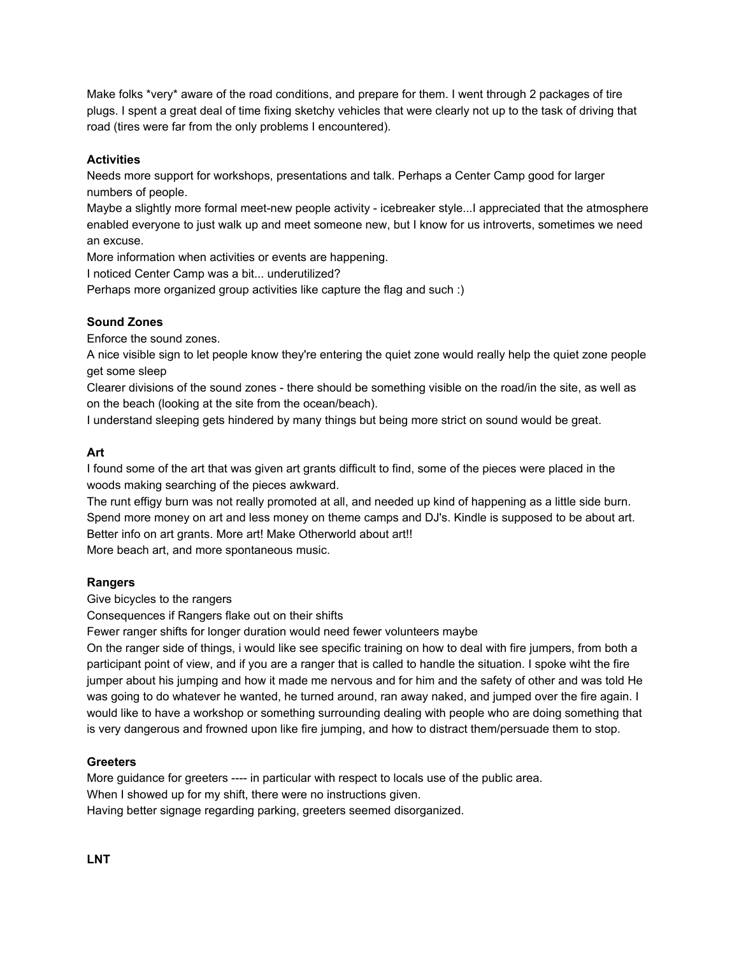Make folks \*very\* aware of the road conditions, and prepare for them. I went through 2 packages of tire plugs. I spent a great deal of time fixing sketchy vehicles that were clearly not up to the task of driving that road (tires were far from the only problems I encountered).

## **Activities**

Needs more support for workshops, presentations and talk. Perhaps a Center Camp good for larger numbers of people.

Maybe a slightly more formal meet-new people activity - icebreaker style...I appreciated that the atmosphere enabled everyone to just walk up and meet someone new, but I know for us introverts, sometimes we need an excuse.

More information when activities or events are happening.

I noticed Center Camp was a bit... underutilized?

Perhaps more organized group activities like capture the flag and such :)

## **Sound Zones**

Enforce the sound zones.

A nice visible sign to let people know they're entering the quiet zone would really help the quiet zone people get some sleep

Clearer divisions of the sound zones - there should be something visible on the road/in the site, as well as on the beach (looking at the site from the ocean/beach).

I understand sleeping gets hindered by many things but being more strict on sound would be great.

## **Art**

I found some of the art that was given art grants difficult to find, some of the pieces were placed in the woods making searching of the pieces awkward.

The runt effigy burn was not really promoted at all, and needed up kind of happening as a little side burn. Spend more money on art and less money on theme camps and DJ's. Kindle is supposed to be about art. Better info on art grants. More art! Make Otherworld about art!!

More beach art, and more spontaneous music.

## **Rangers**

Give bicycles to the rangers

Consequences if Rangers flake out on their shifts

Fewer ranger shifts for longer duration would need fewer volunteers maybe

On the ranger side of things, i would like see specific training on how to deal with fire jumpers, from both a participant point of view, and if you are a ranger that is called to handle the situation. I spoke wiht the fire jumper about his jumping and how it made me nervous and for him and the safety of other and was told He was going to do whatever he wanted, he turned around, ran away naked, and jumped over the fire again. I would like to have a workshop or something surrounding dealing with people who are doing something that is very dangerous and frowned upon like fire jumping, and how to distract them/persuade them to stop.

## **Greeters**

More guidance for greeters ---- in particular with respect to locals use of the public area. When I showed up for my shift, there were no instructions given. Having better signage regarding parking, greeters seemed disorganized.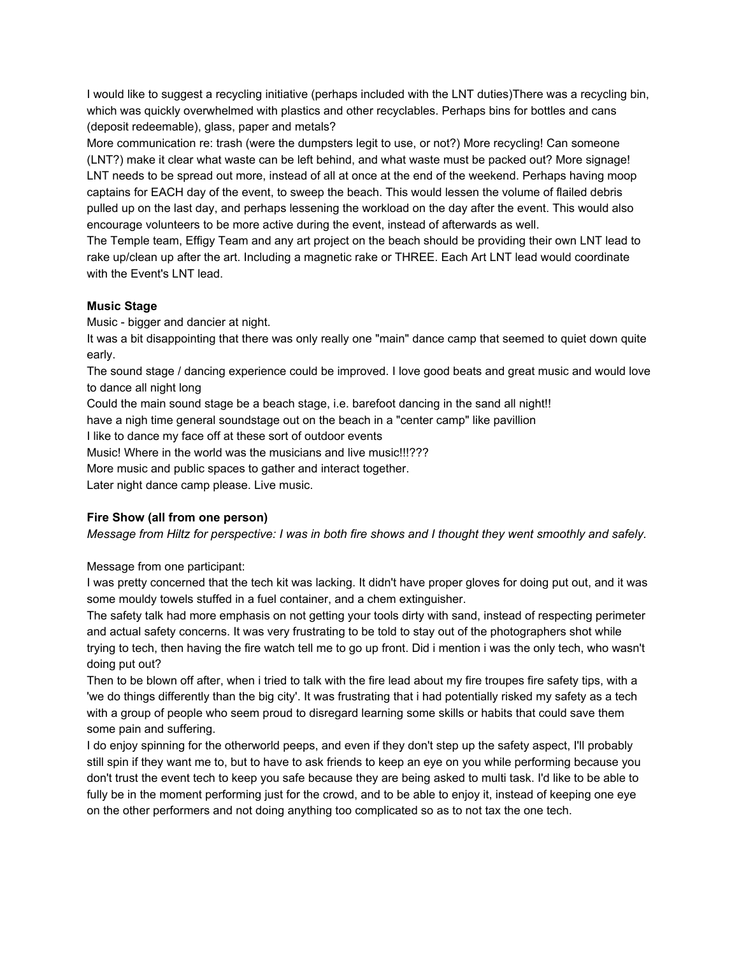I would like to suggest a recycling initiative (perhaps included with the LNT duties)There was a recycling bin, which was quickly overwhelmed with plastics and other recyclables. Perhaps bins for bottles and cans (deposit redeemable), glass, paper and metals?

More communication re: trash (were the dumpsters legit to use, or not?) More recycling! Can someone (LNT?) make it clear what waste can be left behind, and what waste must be packed out? More signage! LNT needs to be spread out more, instead of all at once at the end of the weekend. Perhaps having moop captains for EACH day of the event, to sweep the beach. This would lessen the volume of flailed debris pulled up on the last day, and perhaps lessening the workload on the day after the event. This would also encourage volunteers to be more active during the event, instead of afterwards as well.

The Temple team, Effigy Team and any art project on the beach should be providing their own LNT lead to rake up/clean up after the art. Including a magnetic rake or THREE. Each Art LNT lead would coordinate with the Event's LNT lead.

## **Music Stage**

Music - bigger and dancier at night.

It was a bit disappointing that there was only really one "main" dance camp that seemed to quiet down quite early.

The sound stage / dancing experience could be improved. I love good beats and great music and would love to dance all night long

Could the main sound stage be a beach stage, i.e. barefoot dancing in the sand all night!!

have a nigh time general soundstage out on the beach in a "center camp" like pavillion

I like to dance my face off at these sort of outdoor events

Music! Where in the world was the musicians and live music!!!???

More music and public spaces to gather and interact together.

Later night dance camp please. Live music.

## **Fire Show (all from one person)**

Message from Hiltz for perspective: I was in both fire shows and I thought they went smoothly and safely.

Message from one participant:

I was pretty concerned that the tech kit was lacking. It didn't have proper gloves for doing put out, and it was some mouldy towels stuffed in a fuel container, and a chem extinguisher.

The safety talk had more emphasis on not getting your tools dirty with sand, instead of respecting perimeter and actual safety concerns. It was very frustrating to be told to stay out of the photographers shot while trying to tech, then having the fire watch tell me to go up front. Did i mention i was the only tech, who wasn't doing put out?

Then to be blown off after, when i tried to talk with the fire lead about my fire troupes fire safety tips, with a 'we do things differently than the big city'. It was frustrating that i had potentially risked my safety as a tech with a group of people who seem proud to disregard learning some skills or habits that could save them some pain and suffering.

I do enjoy spinning for the otherworld peeps, and even if they don't step up the safety aspect, I'll probably still spin if they want me to, but to have to ask friends to keep an eye on you while performing because you don't trust the event tech to keep you safe because they are being asked to multi task. I'd like to be able to fully be in the moment performing just for the crowd, and to be able to enjoy it, instead of keeping one eye on the other performers and not doing anything too complicated so as to not tax the one tech.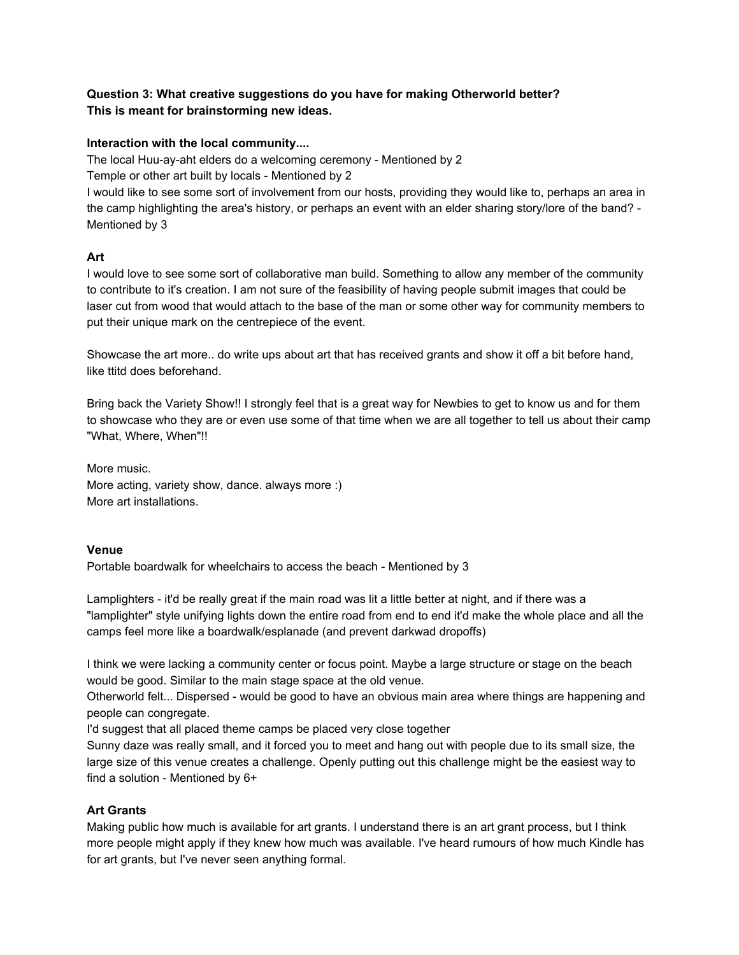## **Question 3: What creative suggestions do you have for making Otherworld better? This is meant for brainstorming new ideas.**

## **Interaction with the local community....**

The local Huu-ay-aht elders do a welcoming ceremony - Mentioned by 2

Temple or other art built by locals - Mentioned by 2

I would like to see some sort of involvement from our hosts, providing they would like to, perhaps an area in the camp highlighting the area's history, or perhaps an event with an elder sharing story/lore of the band? -Mentioned by 3

## **Art**

I would love to see some sort of collaborative man build. Something to allow any member of the community to contribute to it's creation. I am not sure of the feasibility of having people submit images that could be laser cut from wood that would attach to the base of the man or some other way for community members to put their unique mark on the centrepiece of the event.

Showcase the art more.. do write ups about art that has received grants and show it off a bit before hand, like ttitd does beforehand.

Bring back the Variety Show!! I strongly feel that is a great way for Newbies to get to know us and for them to showcase who they are or even use some of that time when we are all together to tell us about their camp "What, Where, When"!!

More music. More acting, variety show, dance. always more :) More art installations.

## **Venue**

Portable boardwalk for wheelchairs to access the beach - Mentioned by 3

Lamplighters - it'd be really great if the main road was lit a little better at night, and if there was a "lamplighter" style unifying lights down the entire road from end to end it'd make the whole place and all the camps feel more like a boardwalk/esplanade (and prevent darkwad dropoffs)

I think we were lacking a community center or focus point. Maybe a large structure or stage on the beach would be good. Similar to the main stage space at the old venue.

Otherworld felt... Dispersed - would be good to have an obvious main area where things are happening and people can congregate.

I'd suggest that all placed theme camps be placed very close together

Sunny daze was really small, and it forced you to meet and hang out with people due to its small size, the large size of this venue creates a challenge. Openly putting out this challenge might be the easiest way to find a solution - Mentioned by  $6+$ 

## **Art Grants**

Making public how much is available for art grants. I understand there is an art grant process, but I think more people might apply if they knew how much was available. I've heard rumours of how much Kindle has for art grants, but I've never seen anything formal.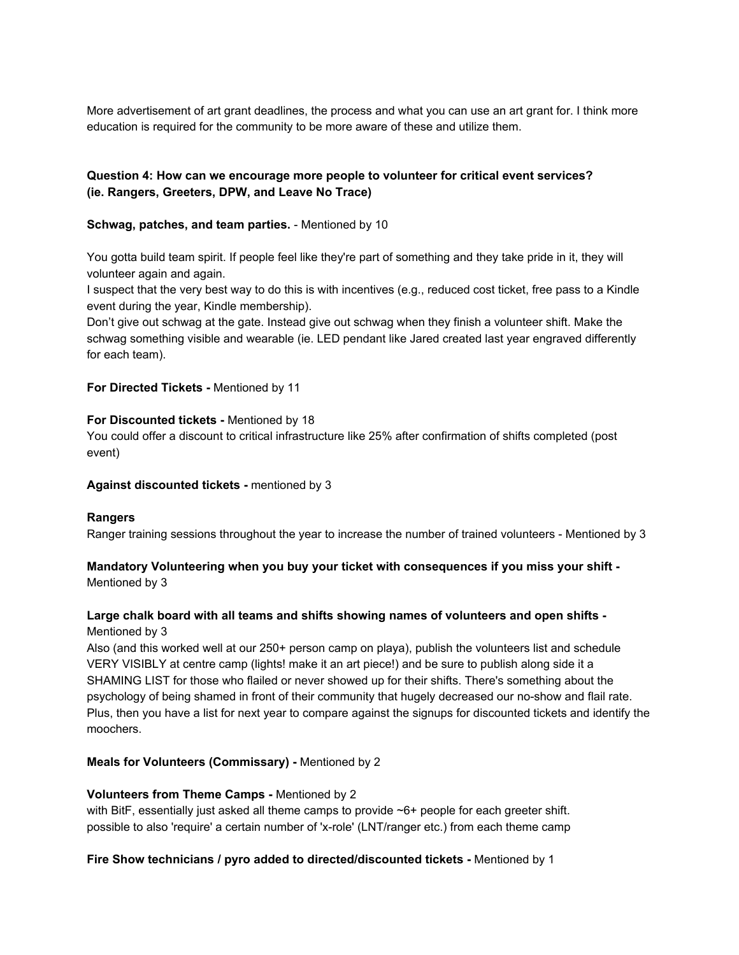More advertisement of art grant deadlines, the process and what you can use an art grant for. I think more education is required for the community to be more aware of these and utilize them.

## **Question 4: How can we encourage more people to volunteer for critical event services? (ie. Rangers, Greeters, DPW, and Leave No Trace)**

#### **Schwag, patches, and team parties.** - Mentioned by 10

You gotta build team spirit. If people feel like they're part of something and they take pride in it, they will volunteer again and again.

I suspect that the very best way to do this is with incentives (e.g., reduced cost ticket, free pass to a Kindle event during the year, Kindle membership).

Don't give out schwag at the gate. Instead give out schwag when they finish a volunteer shift. Make the schwag something visible and wearable (ie. LED pendant like Jared created last year engraved differently for each team).

#### **For Directed Tickets - Mentioned by 11**

#### **For Discounted tickets - Mentioned by 18**

You could offer a discount to critical infrastructure like 25% after confirmation of shifts completed (post event)

#### **Against discounted tickets** mentioned by 3

## **Rangers**

Ranger training sessions throughout the year to increase the number of trained volunteers - Mentioned by 3

#### **Mandatory Volunteering when you buy your ticket with consequences if you miss your shift** Mentioned by 3

## **Large chalk board with all teams and shifts showing names of volunteers and open shifts** Mentioned by 3

Also (and this worked well at our 250+ person camp on playa), publish the volunteers list and schedule VERY VISIBLY at centre camp (lights! make it an art piece!) and be sure to publish along side it a SHAMING LIST for those who flailed or never showed up for their shifts. There's something about the psychology of being shamed in front of their community that hugely decreased our noshow and flail rate. Plus, then you have a list for next year to compare against the signups for discounted tickets and identify the moochers.

## **Meals for Volunteers (Commissary)** Mentioned by 2

#### **Volunteers from Theme Camps - Mentioned by 2**

with BitF, essentially just asked all theme camps to provide ~6+ people for each greeter shift. possible to also 'require' a certain number of 'x-role' (LNT/ranger etc.) from each theme camp

#### **Fire Show technicians / pyro added to directed/discounted tickets** Mentioned by 1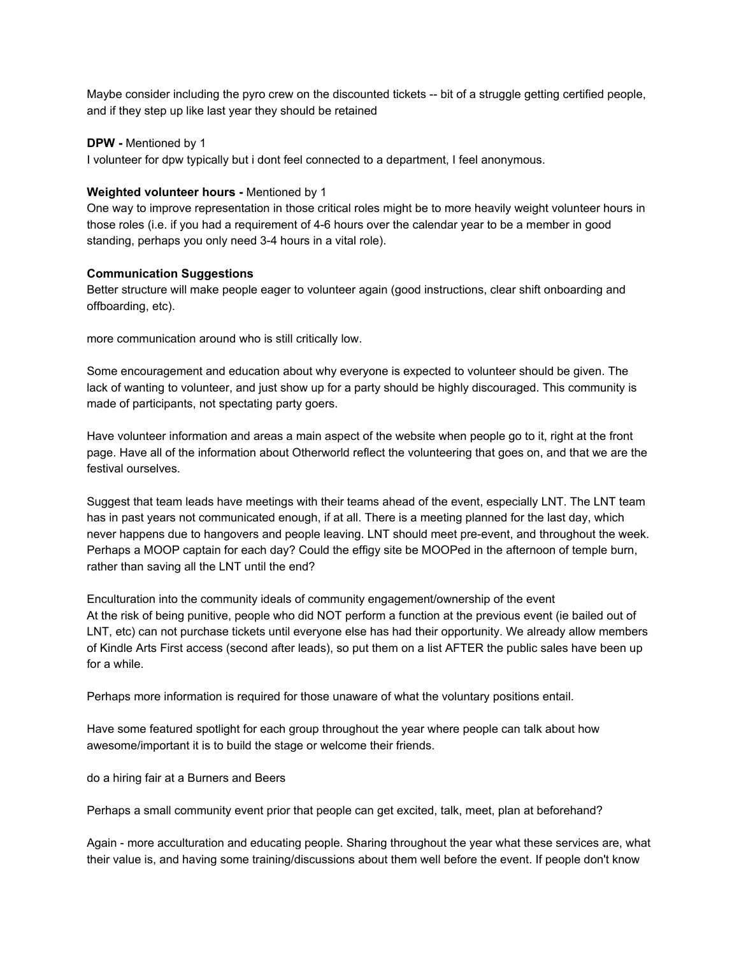Maybe consider including the pyro crew on the discounted tickets -- bit of a struggle getting certified people, and if they step up like last year they should be retained

#### **DPW** - Mentioned by 1

I volunteer for dpw typically but i dont feel connected to a department, I feel anonymous.

#### **Weighted volunteer hours - Mentioned by 1**

One way to improve representation in those critical roles might be to more heavily weight volunteer hours in those roles (i.e. if you had a requirement of 4-6 hours over the calendar year to be a member in good standing, perhaps you only need 3-4 hours in a vital role).

#### **Communication Suggestions**

Better structure will make people eager to volunteer again (good instructions, clear shift onboarding and offboarding, etc).

more communication around who is still critically low.

Some encouragement and education about why everyone is expected to volunteer should be given. The lack of wanting to volunteer, and just show up for a party should be highly discouraged. This community is made of participants, not spectating party goers.

Have volunteer information and areas a main aspect of the website when people go to it, right at the front page. Have all of the information about Otherworld reflect the volunteering that goes on, and that we are the festival ourselves.

Suggest that team leads have meetings with their teams ahead of the event, especially LNT. The LNT team has in past years not communicated enough, if at all. There is a meeting planned for the last day, which never happens due to hangovers and people leaving. LNT should meet pre-event, and throughout the week. Perhaps a MOOP captain for each day? Could the effigy site be MOOPed in the afternoon of temple burn, rather than saving all the LNT until the end?

Enculturation into the community ideals of community engagement/ownership of the event At the risk of being punitive, people who did NOT perform a function at the previous event (ie bailed out of LNT, etc) can not purchase tickets until everyone else has had their opportunity. We already allow members of Kindle Arts First access (second after leads), so put them on a list AFTER the public sales have been up for a while.

Perhaps more information is required for those unaware of what the voluntary positions entail.

Have some featured spotlight for each group throughout the year where people can talk about how awesome/important it is to build the stage or welcome their friends.

do a hiring fair at a Burners and Beers

Perhaps a small community event prior that people can get excited, talk, meet, plan at beforehand?

Again - more acculturation and educating people. Sharing throughout the year what these services are, what their value is, and having some training/discussions about them well before the event. If people don't know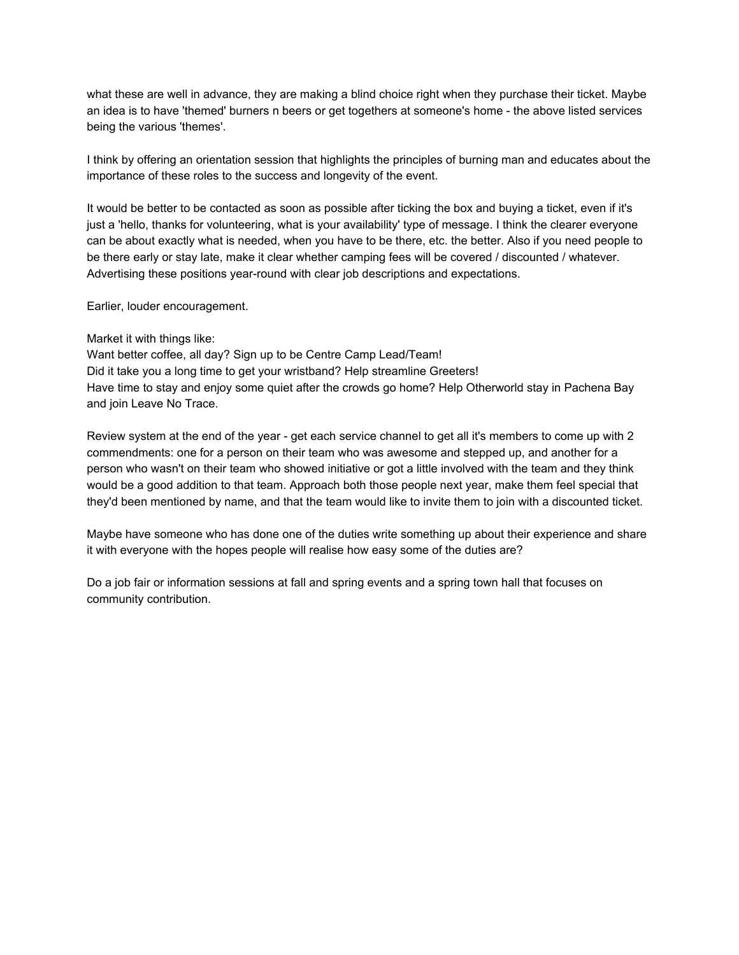what these are well in advance, they are making a blind choice right when they purchase their ticket. Maybe an idea is to have 'themed' burners n beers or get togethers at someone's home - the above listed services being the various 'themes'.

I think by offering an orientation session that highlights the principles of burning man and educates about the importance of these roles to the success and longevity of the event.

It would be better to be contacted as soon as possible after ticking the box and buying a ticket, even if it's just a 'hello, thanks for volunteering, what is your availability' type of message. I think the clearer everyone can be about exactly what is needed, when you have to be there, etc. the better. Also if you need people to be there early or stay late, make it clear whether camping fees will be covered / discounted / whatever. Advertising these positions year-round with clear job descriptions and expectations.

Earlier, louder encouragement.

Market it with things like:

Want better coffee, all day? Sign up to be Centre Camp Lead/Team! Did it take you a long time to get your wristband? Help streamline Greeters! Have time to stay and enjoy some quiet after the crowds go home? Help Otherworld stay in Pachena Bay and join Leave No Trace.

Review system at the end of the year - get each service channel to get all it's members to come up with 2 commendments: one for a person on their team who was awesome and stepped up, and another for a person who wasn't on their team who showed initiative or got a little involved with the team and they think would be a good addition to that team. Approach both those people next year, make them feel special that they'd been mentioned by name, and that the team would like to invite them to join with a discounted ticket.

Maybe have someone who has done one of the duties write something up about their experience and share it with everyone with the hopes people will realise how easy some of the duties are?

Do a job fair or information sessions at fall and spring events and a spring town hall that focuses on community contribution.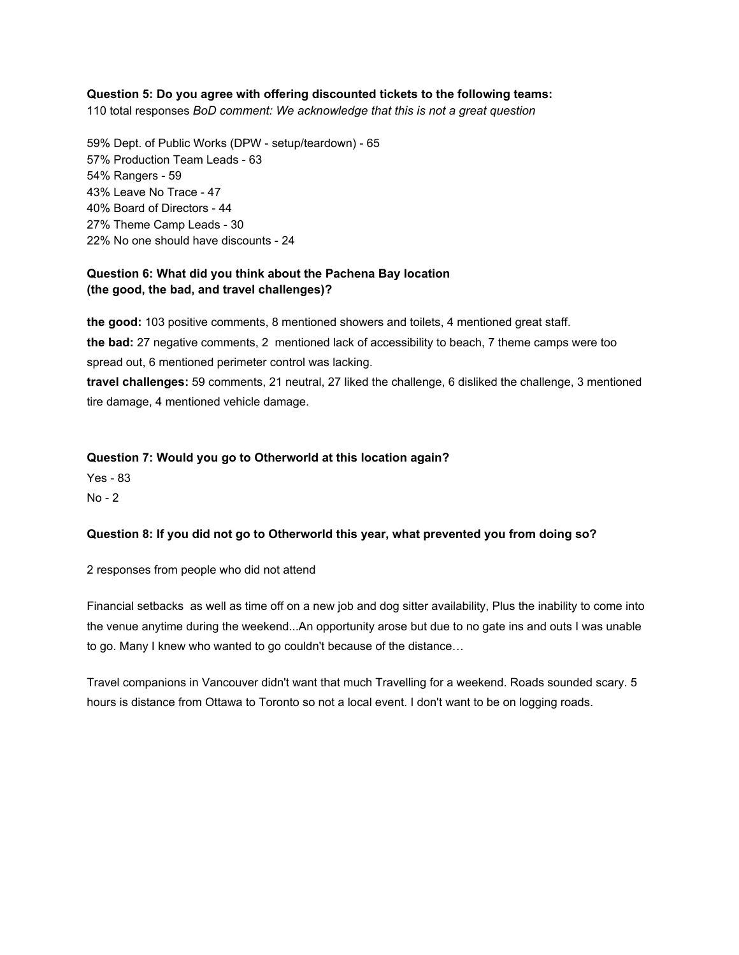#### **Question 5: Do you agree with offering discounted tickets to the following teams:**

110 total responses *BoD comment: We acknowledge that this is not a great question*

59% Dept. of Public Works (DPW - setup/teardown) - 65 57% Production Team Leads - 63 54% Rangers - 59 43% Leave No Trace - 47 40% Board of Directors - 44 27% Theme Camp Leads - 30 22% No one should have discounts - 24

## **Question 6: What did you think about the Pachena Bay location (the good, the bad, and travel challenges)?**

**the good:**103 positive comments, 8 mentioned showers and toilets, 4 mentioned great staff. **the bad:**27 negative comments, 2 mentioned lack of accessibility to beach, 7 theme camps were too spread out, 6 mentioned perimeter control was lacking.

**travel challenges:**59 comments, 21 neutral, 27 liked the challenge, 6 disliked the challenge, 3 mentioned tire damage, 4 mentioned vehicle damage.

#### **Question 7: Would you go to Otherworld at this location again?**

**Yes - 83** 

 $No - 2$ 

#### **Question 8: If you did not go to Otherworld this year, what prevented you from doing so?**

2 responses from people who did not attend

Financial setbacks as well as time off on a new job and dog sitter availability, Plus the inability to come into the venue anytime during the weekend...An opportunity arose but due to no gate ins and outs I was unable to go. Many I knew who wanted to go couldn't because of the distance…

Travel companions in Vancouver didn't want that much Travelling for a weekend. Roads sounded scary. 5 hours is distance from Ottawa to Toronto so not a local event. I don't want to be on logging roads.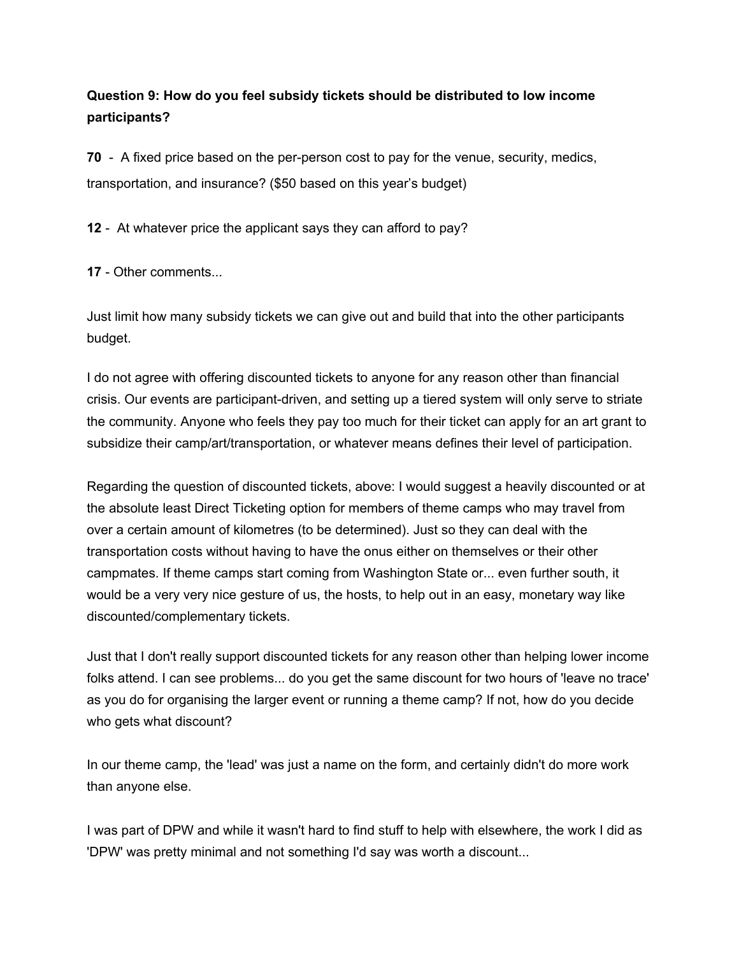# **Question 9: How do you feel subsidy tickets should be distributed to low income participants?**

**70** - A fixed price based on the per-person cost to pay for the venue, security, medics, transportation, and insurance? (\$50 based on this year's budget)

**12** - At whatever price the applicant says they can afford to pay?

**17** - Other comments...

Just limit how many subsidy tickets we can give out and build that into the other participants budget.

I do not agree with offering discounted tickets to anyone for any reason other than financial crisis. Our events are participant-driven, and setting up a tiered system will only serve to striate the community. Anyone who feels they pay too much for their ticket can apply for an art grant to subsidize their camp/art/transportation, or whatever means defines their level of participation.

Regarding the question of discounted tickets, above: I would suggest a heavily discounted or at the absolute least Direct Ticketing option for members of theme camps who may travel from over a certain amount of kilometres (to be determined). Just so they can deal with the transportation costs without having to have the onus either on themselves or their other campmates. If theme camps start coming from Washington State or... even further south, it would be a very very nice gesture of us, the hosts, to help out in an easy, monetary way like discounted/complementary tickets.

Just that I don't really support discounted tickets for any reason other than helping lower income folks attend. I can see problems... do you get the same discount for two hours of 'leave no trace' as you do for organising the larger event or running a theme camp? If not, how do you decide who gets what discount?

In our theme camp, the 'lead' was just a name on the form, and certainly didn't do more work than anyone else.

I was part of DPW and while it wasn't hard to find stuff to help with elsewhere, the work I did as 'DPW' was pretty minimal and not something I'd say was worth a discount...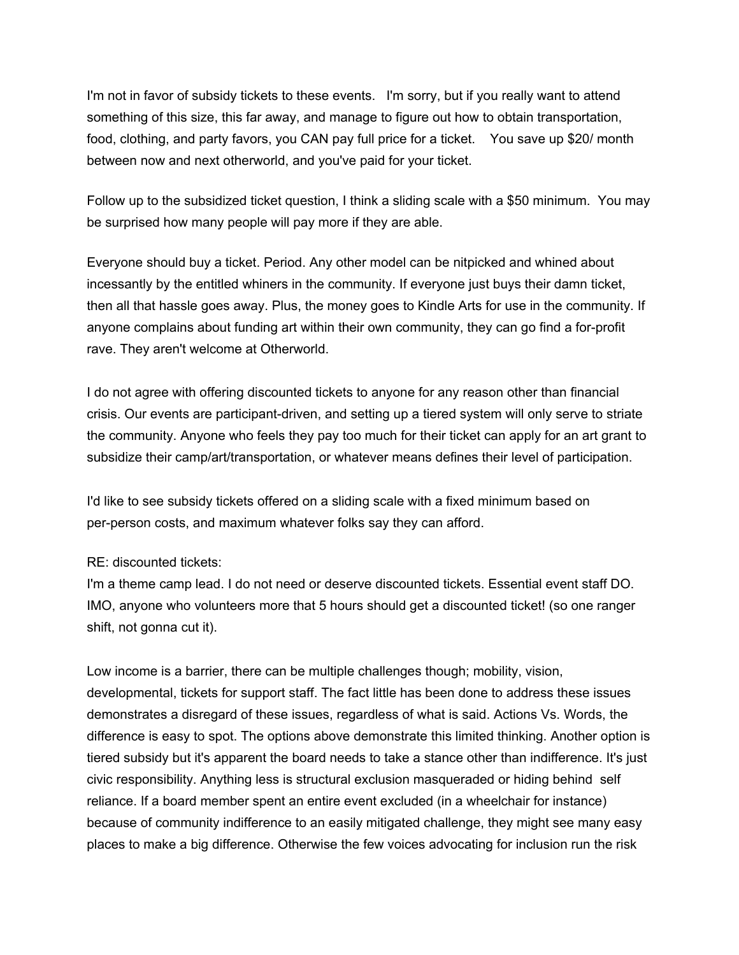I'm not in favor of subsidy tickets to these events. I'm sorry, but if you really want to attend something of this size, this far away, and manage to figure out how to obtain transportation, food, clothing, and party favors, you CAN pay full price for a ticket. You save up \$20/ month between now and next otherworld, and you've paid for your ticket.

Follow up to the subsidized ticket question, I think a sliding scale with a \$50 minimum. You may be surprised how many people will pay more if they are able.

Everyone should buy a ticket. Period. Any other model can be nitpicked and whined about incessantly by the entitled whiners in the community. If everyone just buys their damn ticket, then all that hassle goes away. Plus, the money goes to Kindle Arts for use in the community. If anyone complains about funding art within their own community, they can go find a for-profit rave. They aren't welcome at Otherworld.

I do not agree with offering discounted tickets to anyone for any reason other than financial crisis. Our events are participant-driven, and setting up a tiered system will only serve to striate the community. Anyone who feels they pay too much for their ticket can apply for an art grant to subsidize their camp/art/transportation, or whatever means defines their level of participation.

I'd like to see subsidy tickets offered on a sliding scale with a fixed minimum based on per-person costs, and maximum whatever folks say they can afford.

# RE: discounted tickets:

I'm a theme camp lead. I do not need or deserve discounted tickets. Essential event staff DO. IMO, anyone who volunteers more that 5 hours should get a discounted ticket! (so one ranger shift, not gonna cut it).

Low income is a barrier, there can be multiple challenges though; mobility, vision, developmental, tickets for support staff. The fact little has been done to address these issues demonstrates a disregard of these issues, regardless of what is said. Actions Vs. Words, the difference is easy to spot. The options above demonstrate this limited thinking. Another option is tiered subsidy but it's apparent the board needs to take a stance other than indifference. It's just civic responsibility. Anything less is structural exclusion masqueraded or hiding behind self reliance. If a board member spent an entire event excluded (in a wheelchair for instance) because of community indifference to an easily mitigated challenge, they might see many easy places to make a big difference. Otherwise the few voices advocating for inclusion run the risk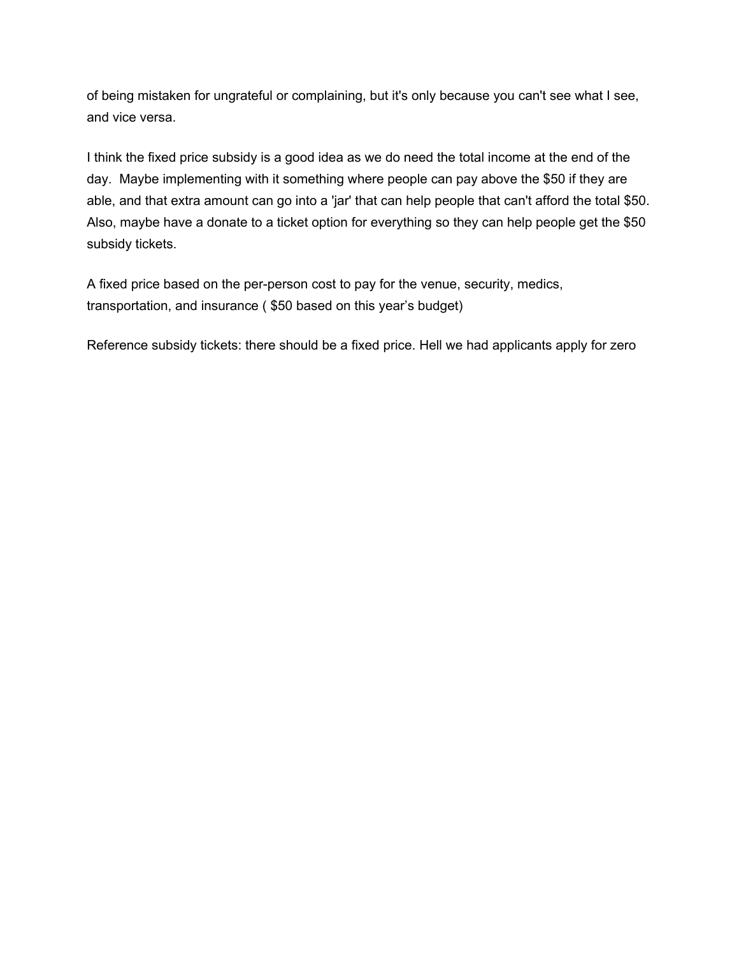of being mistaken for ungrateful or complaining, but it's only because you can't see what I see, and vice versa.

I think the fixed price subsidy is a good idea as we do need the total income at the end of the day. Maybe implementing with it something where people can pay above the \$50 if they are able, and that extra amount can go into a 'jar' that can help people that can't afford the total \$50. Also, maybe have a donate to a ticket option for everything so they can help people get the \$50 subsidy tickets.

A fixed price based on the per-person cost to pay for the venue, security, medics, transportation, and insurance ( \$50 based on this year's budget)

Reference subsidy tickets: there should be a fixed price. Hell we had applicants apply for zero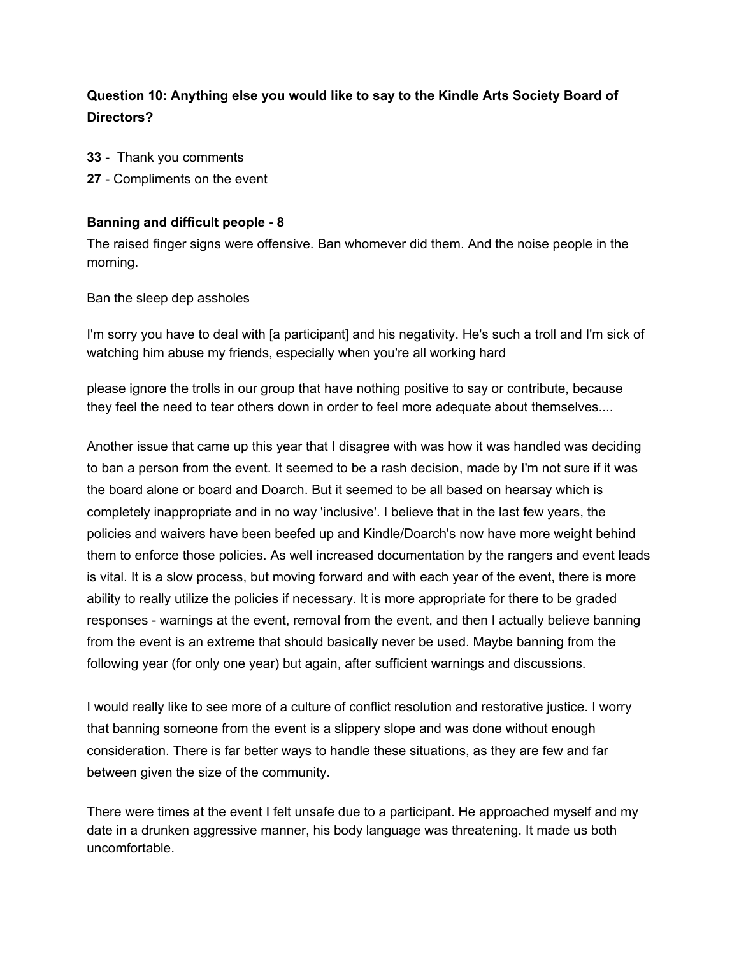# **Question 10: Anything else you would like to say to the Kindle Arts Society Board of Directors?**

- **33** Thank you comments
- **27** Compliments on the event

# **Banning and difficult people 8**

The raised finger signs were offensive. Ban whomever did them. And the noise people in the morning.

Ban the sleep dep assholes

I'm sorry you have to deal with [a participant] and his negativity. He's such a troll and I'm sick of watching him abuse my friends, especially when you're all working hard

please ignore the trolls in our group that have nothing positive to say or contribute, because they feel the need to tear others down in order to feel more adequate about themselves....

Another issue that came up this year that I disagree with was how it was handled was deciding to ban a person from the event. It seemed to be a rash decision, made by I'm not sure if it was the board alone or board and Doarch. But it seemed to be all based on hearsay which is completely inappropriate and in no way 'inclusive'. I believe that in the last few years, the policies and waivers have been beefed up and Kindle/Doarch's now have more weight behind them to enforce those policies. As well increased documentation by the rangers and event leads is vital. It is a slow process, but moving forward and with each year of the event, there is more ability to really utilize the policies if necessary. It is more appropriate for there to be graded responses warnings at the event, removal from the event, and then I actually believe banning from the event is an extreme that should basically never be used. Maybe banning from the following year (for only one year) but again, after sufficient warnings and discussions.

I would really like to see more of a culture of conflict resolution and restorative justice. I worry that banning someone from the event is a slippery slope and was done without enough consideration. There is far better ways to handle these situations, as they are few and far between given the size of the community.

There were times at the event I felt unsafe due to a participant. He approached myself and my date in a drunken aggressive manner, his body language was threatening. It made us both uncomfortable.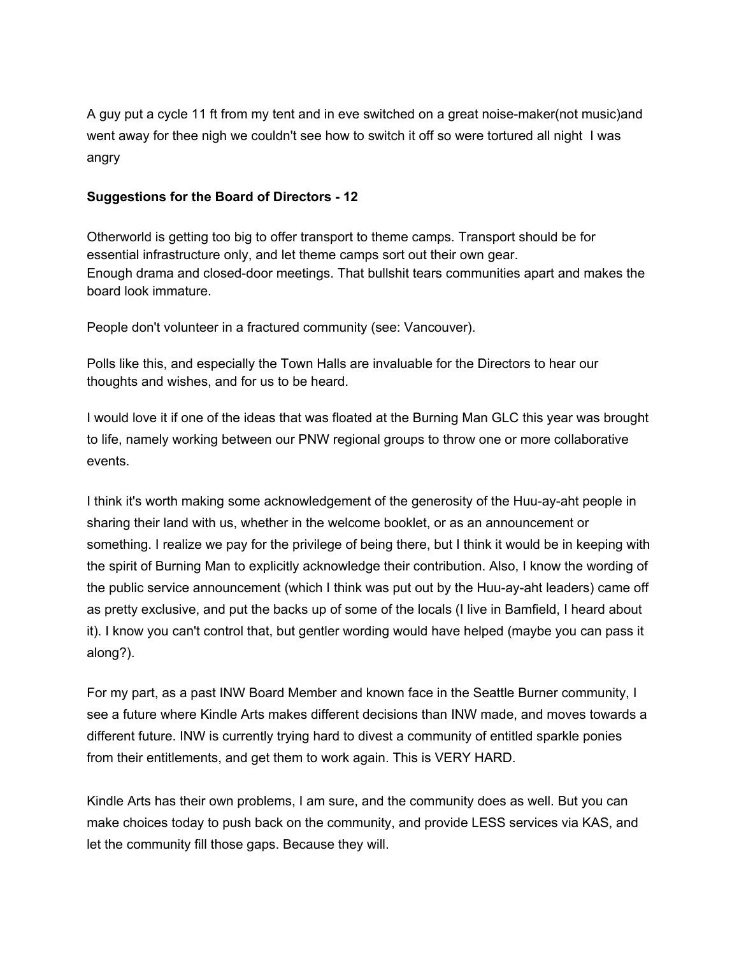A guy put a cycle 11 ft from my tent and in eve switched on a great noise-maker(not music)and went away for thee nigh we couldn't see how to switch it off so were tortured all night I was angry

# **Suggestions for the Board of Directors 12**

Otherworld is getting too big to offer transport to theme camps. Transport should be for essential infrastructure only, and let theme camps sort out their own gear. Enough drama and closed-door meetings. That bullshit tears communities apart and makes the board look immature.

People don't volunteer in a fractured community (see: Vancouver).

Polls like this, and especially the Town Halls are invaluable for the Directors to hear our thoughts and wishes, and for us to be heard.

I would love it if one of the ideas that was floated at the Burning Man GLC this year was brought to life, namely working between our PNW regional groups to throw one or more collaborative events.

I think it's worth making some acknowledgement of the generosity of the Huu-ay-aht people in sharing their land with us, whether in the welcome booklet, or as an announcement or something. I realize we pay for the privilege of being there, but I think it would be in keeping with the spirit of Burning Man to explicitly acknowledge their contribution. Also, I know the wording of the public service announcement (which I think was put out by the Huu-ay-aht leaders) came off as pretty exclusive, and put the backs up of some of the locals (I live in Bamfield, I heard about it). I know you can't control that, but gentler wording would have helped (maybe you can pass it along?).

For my part, as a past INW Board Member and known face in the Seattle Burner community, I see a future where Kindle Arts makes different decisions than INW made, and moves towards a different future. INW is currently trying hard to divest a community of entitled sparkle ponies from their entitlements, and get them to work again. This is VERY HARD.

Kindle Arts has their own problems, I am sure, and the community does as well. But you can make choices today to push back on the community, and provide LESS services via KAS, and let the community fill those gaps. Because they will.